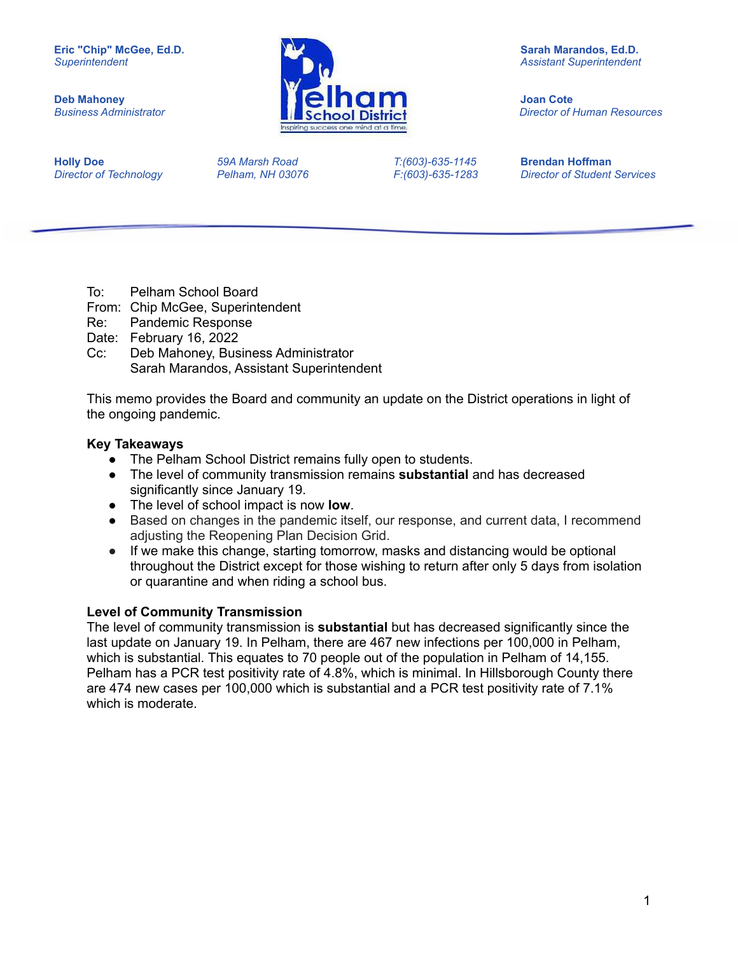

*Business Administrator Director of Human Resources*

**Holly Doe** *59A Marsh Road T:(603)-635-1145* **Brendan Hoffman**

*Director of Technology Pelham, NH 03076 F:(603)-635-1283 Director of Student Services*

- To: Pelham School Board
- From: Chip McGee, Superintendent
- Re: Pandemic Response
- Date: February 16, 2022
- Cc: Deb Mahoney, Business Administrator Sarah Marandos, Assistant Superintendent

This memo provides the Board and community an update on the District operations in light of the ongoing pandemic.

### **Key Takeaways**

- The Pelham School District remains fully open to students.
- The level of community transmission remains **substantial** and has decreased significantly since January 19.
- The level of school impact is now **low**.
- Based on changes in the pandemic itself, our response, and current data, I recommend adjusting the Reopening Plan Decision Grid.
- If we make this change, starting tomorrow, masks and distancing would be optional throughout the District except for those wishing to return after only 5 days from isolation or quarantine and when riding a school bus.

### **Level of Community Transmission**

The level of community transmission is **substantial** but has decreased significantly since the last update on January 19. In Pelham, there are 467 new infections per 100,000 in Pelham, which is substantial. This equates to 70 people out of the population in Pelham of 14,155. Pelham has a PCR test positivity rate of 4.8%, which is minimal. In Hillsborough County there are 474 new cases per 100,000 which is substantial and a PCR test positivity rate of 7.1% which is moderate.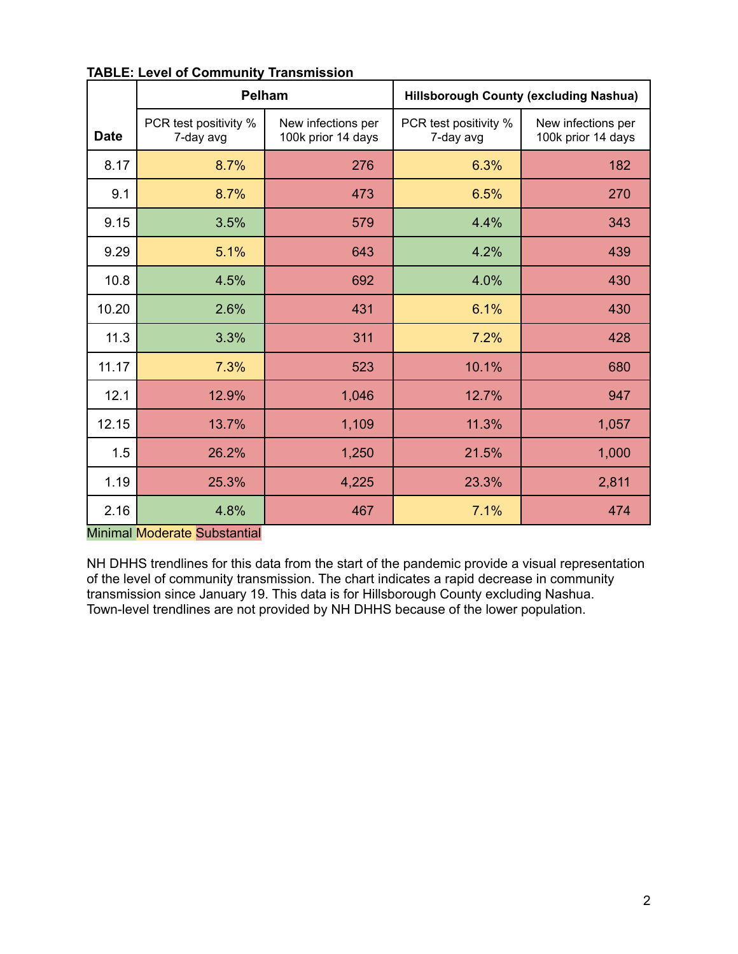|             | <b>Pelham</b>                      |                                          | <b>Hillsborough County (excluding Nashua)</b> |                                          |  |
|-------------|------------------------------------|------------------------------------------|-----------------------------------------------|------------------------------------------|--|
| <b>Date</b> | PCR test positivity %<br>7-day avg | New infections per<br>100k prior 14 days | PCR test positivity %<br>7-day avg            | New infections per<br>100k prior 14 days |  |
| 8.17        | 8.7%                               | 276                                      | 6.3%                                          | 182                                      |  |
| 9.1         | 8.7%                               | 473                                      | 6.5%                                          | 270                                      |  |
| 9.15        | 3.5%                               | 579                                      | 4.4%                                          | 343                                      |  |
| 9.29        | 5.1%                               | 643                                      | 4.2%                                          | 439                                      |  |
| 10.8        | 4.5%                               | 692                                      | 4.0%                                          | 430                                      |  |
| 10.20       | 2.6%                               | 431                                      | 6.1%                                          | 430                                      |  |
| 11.3        | 3.3%                               | 311                                      | 7.2%                                          | 428                                      |  |
| 11.17       | 7.3%                               | 523                                      | 10.1%                                         | 680                                      |  |
| 12.1        | 12.9%                              | 1,046                                    | 12.7%                                         | 947                                      |  |
| 12.15       | 13.7%                              | 1,109                                    | 11.3%                                         | 1,057                                    |  |
| 1.5         | 26.2%                              | 1,250                                    | 21.5%                                         | 1,000                                    |  |
| 1.19        | 25.3%                              | 4,225                                    | 23.3%                                         | 2,811                                    |  |
| 2.16        | 4.8%                               | 467                                      | 7.1%                                          | 474                                      |  |

#### **TABLE: Level of Community Transmission**

#### Minimal Moderate Substantial

NH DHHS trendlines for this data from the start of the pandemic provide a visual representation of the level of community transmission. The chart indicates a rapid decrease in community transmission since January 19. This data is for Hillsborough County excluding Nashua. Town-level trendlines are not provided by NH DHHS because of the lower population.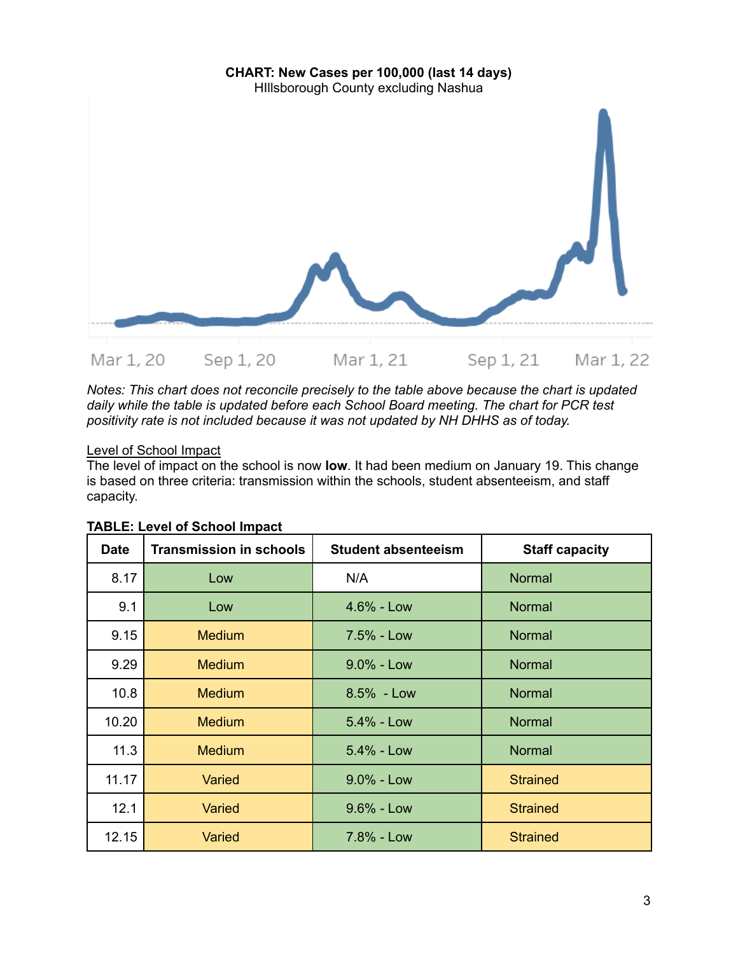

*Notes: This chart does not reconcile precisely to the table above because the chart is updated daily while the table is updated before each School Board meeting. The chart for PCR test positivity rate is not included because it was not updated by NH DHHS as of today.*

# Level of School Impact

The level of impact on the school is now **low**. It had been medium on January 19. This change is based on three criteria: transmission within the schools, student absenteeism, and staff capacity.

| <b>Date</b> | <b>Transmission in schools</b> | <b>Student absenteeism</b> | <b>Staff capacity</b> |
|-------------|--------------------------------|----------------------------|-----------------------|
| 8.17        | Low                            | N/A                        | Normal                |
| 9.1         | Low                            | $4.6% - Low$               | <b>Normal</b>         |
| 9.15        | <b>Medium</b>                  | 7.5% - Low                 | <b>Normal</b>         |
| 9.29        | <b>Medium</b>                  | $9.0\%$ - Low              | <b>Normal</b>         |
| 10.8        | <b>Medium</b>                  | 8.5% - Low                 | <b>Normal</b>         |
| 10.20       | <b>Medium</b>                  | 5.4% - Low                 | <b>Normal</b>         |
| 11.3        | <b>Medium</b>                  | 5.4% - Low                 | <b>Normal</b>         |
| 11.17       | Varied                         | $9.0\%$ - Low              | <b>Strained</b>       |
| 12.1        | Varied                         | $9.6\%$ - Low              | <b>Strained</b>       |
| 12.15       | Varied                         | 7.8% - Low                 | <b>Strained</b>       |

# **TABLE: Level of School Impact**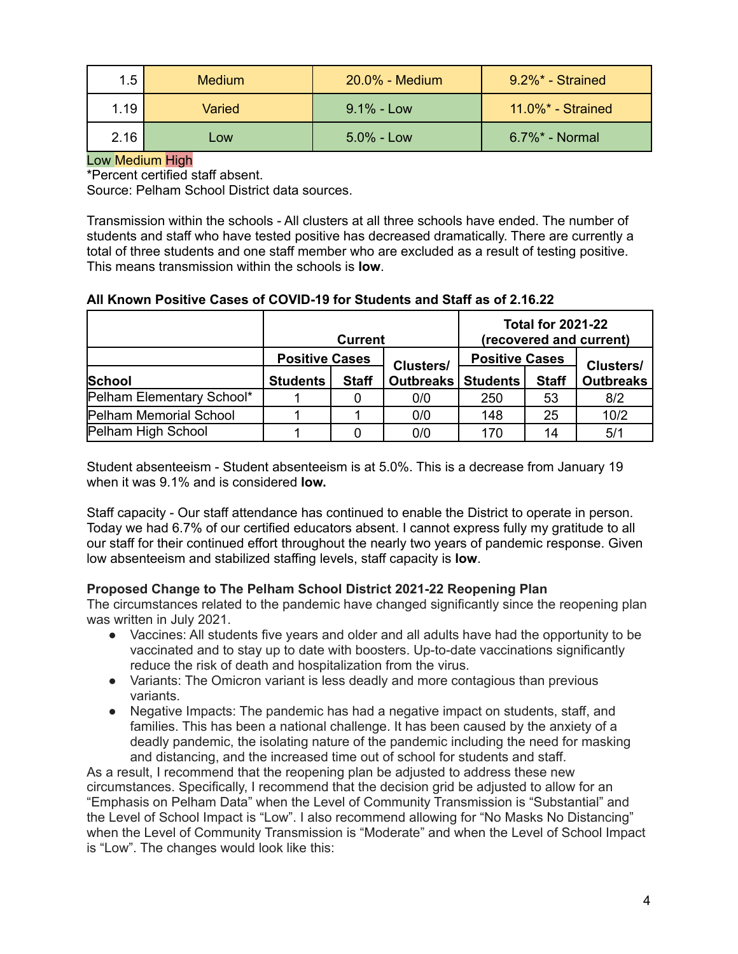| 1.5  | <b>Medium</b> | $20.0\%$ - Medium | 9.2%* - Strained      |
|------|---------------|-------------------|-----------------------|
| 1.19 | Varied        | $9.1\%$ - Low     | $11.0\%$ * - Strained |
| 2.16 | Low           | $5.0\%$ - Low     | $6.7\%$ * - Normal    |

### Low Medium High

\*Percent certified staff absent.

Source: Pelham School District data sources.

Transmission within the schools - All clusters at all three schools have ended. The number of students and staff who have tested positive has decreased dramatically. There are currently a total of three students and one staff member who are excluded as a result of testing positive. This means transmission within the schools is **low**.

### **All Known Positive Cases of COVID-19 for Students and Staff as of 2.16.22**

|                           | <b>Current</b>  |                                    |           | <b>Total for 2021-22</b><br>(recovered and current) |              |                  |
|---------------------------|-----------------|------------------------------------|-----------|-----------------------------------------------------|--------------|------------------|
|                           |                 | <b>Positive Cases</b><br>Clusters/ |           | <b>Positive Cases</b>                               |              | <b>Clusters/</b> |
| <b>School</b>             | <b>Students</b> | <b>Staff</b>                       | Outbreaks | <b>Students</b>                                     | <b>Staff</b> | <b>Outbreaks</b> |
| Pelham Elementary School* |                 |                                    | 0/0       | 250                                                 | 53           | 8/2              |
| Pelham Memorial School    |                 |                                    | 0/0       | 148                                                 | 25           | 10/2             |
| Pelham High School        |                 |                                    | 0/0       | 170                                                 | 14           | 5/1              |

Student absenteeism - Student absenteeism is at 5.0%. This is a decrease from January 19 when it was 9.1% and is considered **low.**

Staff capacity - Our staff attendance has continued to enable the District to operate in person. Today we had 6.7% of our certified educators absent. I cannot express fully my gratitude to all our staff for their continued effort throughout the nearly two years of pandemic response. Given low absenteeism and stabilized staffing levels, staff capacity is **low**.

### **Proposed Change to The Pelham School District 2021-22 Reopening Plan**

The circumstances related to the pandemic have changed significantly since the reopening plan was written in July 2021.

- Vaccines: All students five years and older and all adults have had the opportunity to be vaccinated and to stay up to date with boosters. Up-to-date vaccinations significantly reduce the risk of death and hospitalization from the virus.
- Variants: The Omicron variant is less deadly and more contagious than previous variants.
- Negative Impacts: The pandemic has had a negative impact on students, staff, and families. This has been a national challenge. It has been caused by the anxiety of a deadly pandemic, the isolating nature of the pandemic including the need for masking and distancing, and the increased time out of school for students and staff.

As a result, I recommend that the reopening plan be adjusted to address these new circumstances. Specifically, I recommend that the decision grid be adjusted to allow for an "Emphasis on Pelham Data" when the Level of Community Transmission is "Substantial" and the Level of School Impact is "Low". I also recommend allowing for "No Masks No Distancing" when the Level of Community Transmission is "Moderate" and when the Level of School Impact is "Low". The changes would look like this: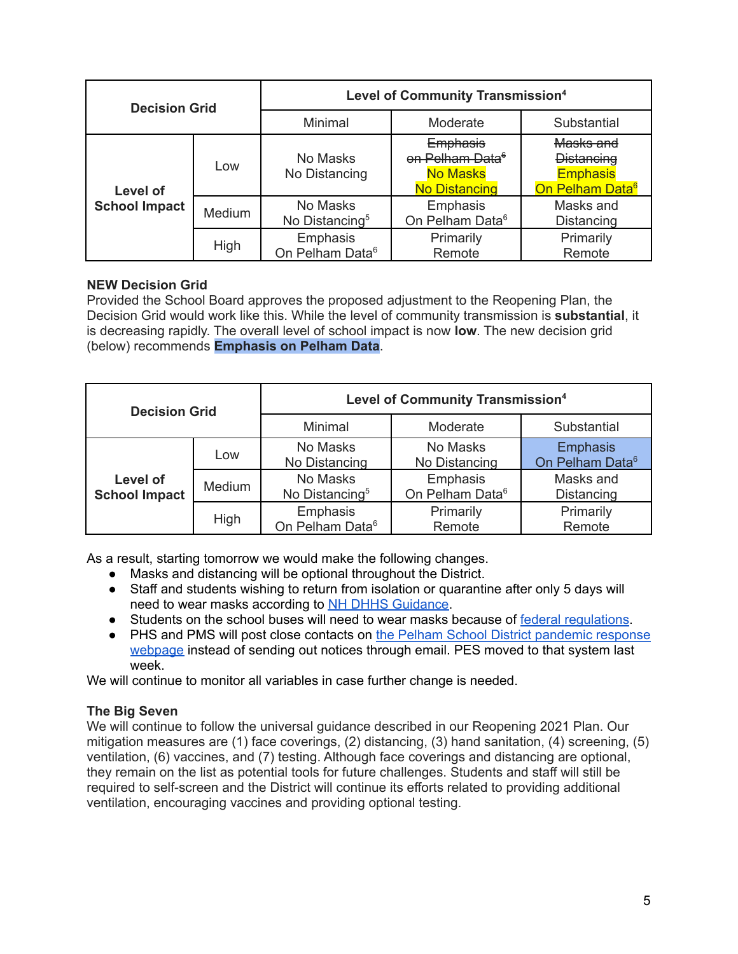| <b>Decision Grid</b> |        | <b>Level of Community Transmission4</b> |                                                                                           |                                                                                  |  |
|----------------------|--------|-----------------------------------------|-------------------------------------------------------------------------------------------|----------------------------------------------------------------------------------|--|
|                      |        | Minimal                                 | Moderate                                                                                  | Substantial                                                                      |  |
| Level of             | Low    | No Masks<br>No Distancing               | <b>Emphasis</b><br>on Pelham Data <sup>e</sup><br><b>No Masks</b><br><b>No Distancing</b> | Masks and<br><b>Distancing</b><br><b>Emphasis</b><br>On Pelham Data <sup>6</sup> |  |
| <b>School Impact</b> | Medium | No Masks<br>No Distancing <sup>5</sup>  | Emphasis<br>On Pelham Data <sup>6</sup>                                                   | Masks and<br>Distancing                                                          |  |
|                      | High   | Emphasis<br>On Pelham Data <sup>6</sup> | Primarily<br>Remote                                                                       | Primarily<br>Remote                                                              |  |

# **NEW Decision Grid**

Provided the School Board approves the proposed adjustment to the Reopening Plan, the Decision Grid would work like this. While the level of community transmission is **substantial**, it is decreasing rapidly. The overall level of school impact is now **low**. The new decision grid (below) recommends **Emphasis on Pelham Data**.

| <b>Decision Grid</b>             |        | Level of Community Transmission <sup>4</sup> |                                         |                                                |  |
|----------------------------------|--------|----------------------------------------------|-----------------------------------------|------------------------------------------------|--|
|                                  |        | Minimal                                      | Moderate                                | Substantial                                    |  |
|                                  | Low    | No Masks<br>No Distancing                    | No Masks<br>No Distancing               | <b>Emphasis</b><br>On Pelham Data <sup>6</sup> |  |
| Level of<br><b>School Impact</b> | Medium | No Masks<br>No Distancing <sup>5</sup>       | Emphasis<br>On Pelham Data <sup>6</sup> | Masks and<br>Distancing                        |  |
|                                  | High   | Emphasis<br>On Pelham Data <sup>6</sup>      | Primarily<br>Remote                     | Primarily<br>Remote                            |  |

As a result, starting tomorrow we would make the following changes.

- Masks and distancing will be optional throughout the District.
- Staff and students wishing to return from isolation or quarantine after only 5 days will need to wear masks according to NH DHHS [Guidance.](https://www.covid19.nh.gov/sites/g/files/ehbemt481/files/inline-documents/sonh/isolation-and-quarantine-recommendations_0.pdf)
- Students on the school buses will need to wear masks because of federal [regulations](https://www.cdc.gov/quarantine/masks/mask-travel-guidance.html).
- PHS and PMS will post close contacts on the Pelham School District [pandemic](https://www.pelhamsd.org/PandemicResponseResources.aspx) response [webpage](https://www.pelhamsd.org/PandemicResponseResources.aspx) instead of sending out notices through email. PES moved to that system last week.

We will continue to monitor all variables in case further change is needed.

### **The Big Seven**

We will continue to follow the universal guidance described in our Reopening 2021 Plan. Our mitigation measures are (1) face coverings, (2) distancing, (3) hand sanitation, (4) screening, (5) ventilation, (6) vaccines, and (7) testing. Although face coverings and distancing are optional, they remain on the list as potential tools for future challenges. Students and staff will still be required to self-screen and the District will continue its efforts related to providing additional ventilation, encouraging vaccines and providing optional testing.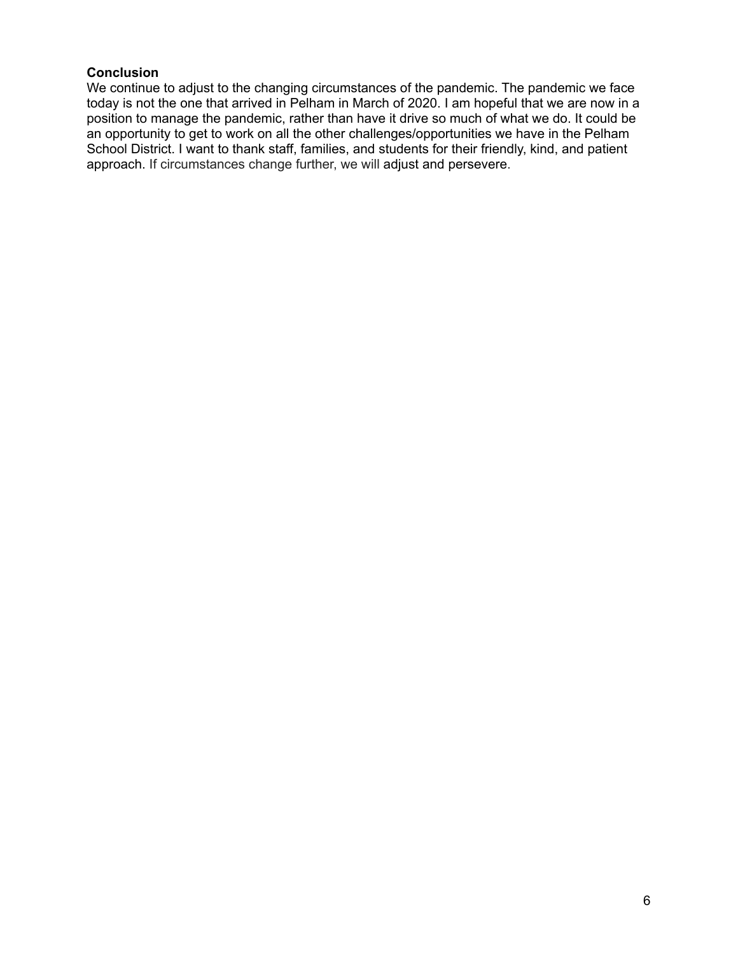### **Conclusion**

We continue to adjust to the changing circumstances of the pandemic. The pandemic we face today is not the one that arrived in Pelham in March of 2020. I am hopeful that we are now in a position to manage the pandemic, rather than have it drive so much of what we do. It could be an opportunity to get to work on all the other challenges/opportunities we have in the Pelham School District. I want to thank staff, families, and students for their friendly, kind, and patient approach. If circumstances change further, we will adjust and persevere.